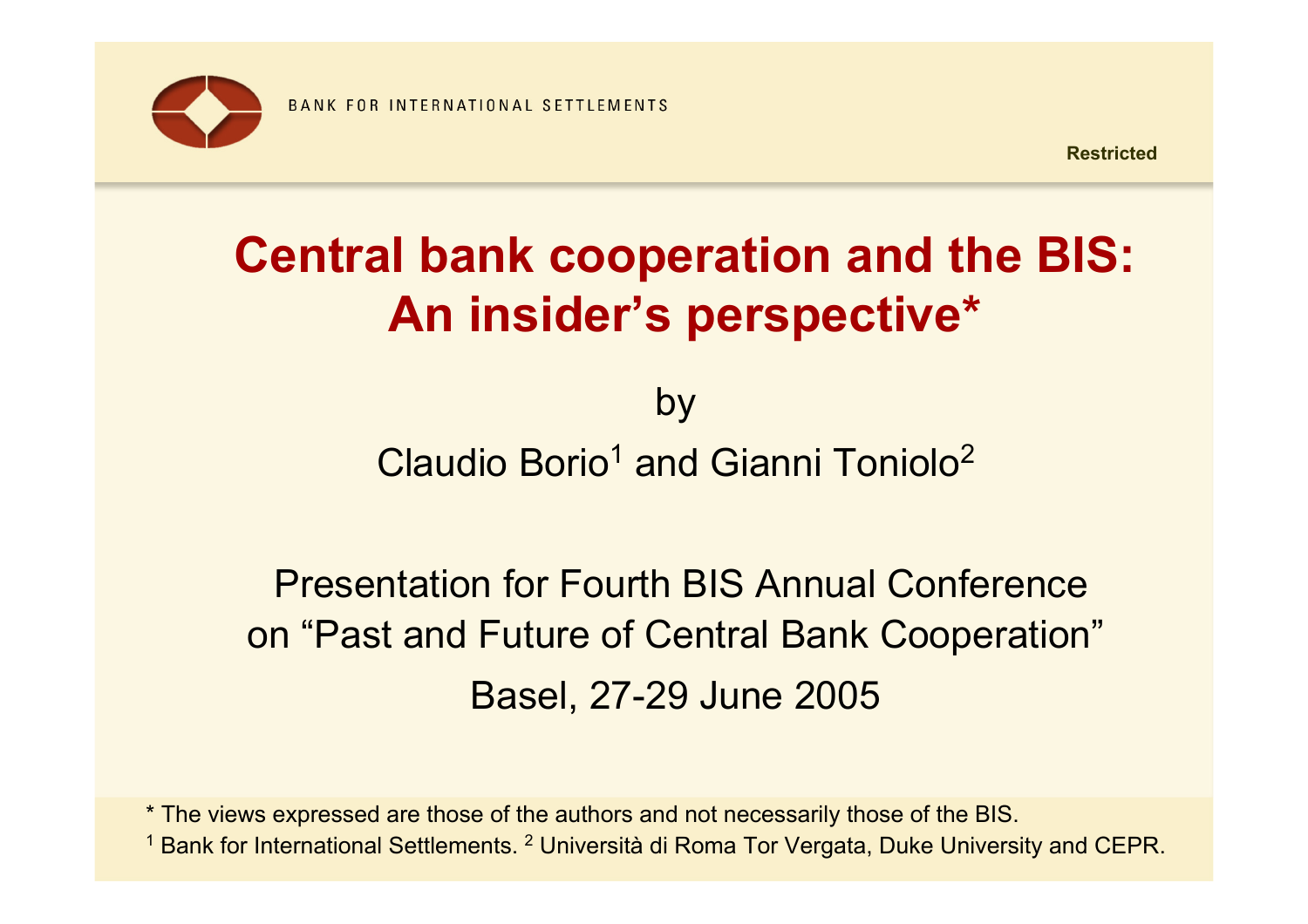

# **Central bank cooperation and the BIS: An insider's perspective\***

by Claudio Borio<sup>1</sup> and Gianni Toniolo<sup>2</sup>

# Presentation for Fourth BIS Annual Conference on "Past and Future of Central Bank Cooperation" Basel, 27-29 June 2005

\* The views expressed are those of the authors and not necessarily those of the BIS. <sup>1</sup> Bank for International Settlements. <sup>2</sup> Università di Roma Tor Vergata, Duke University and CEPR.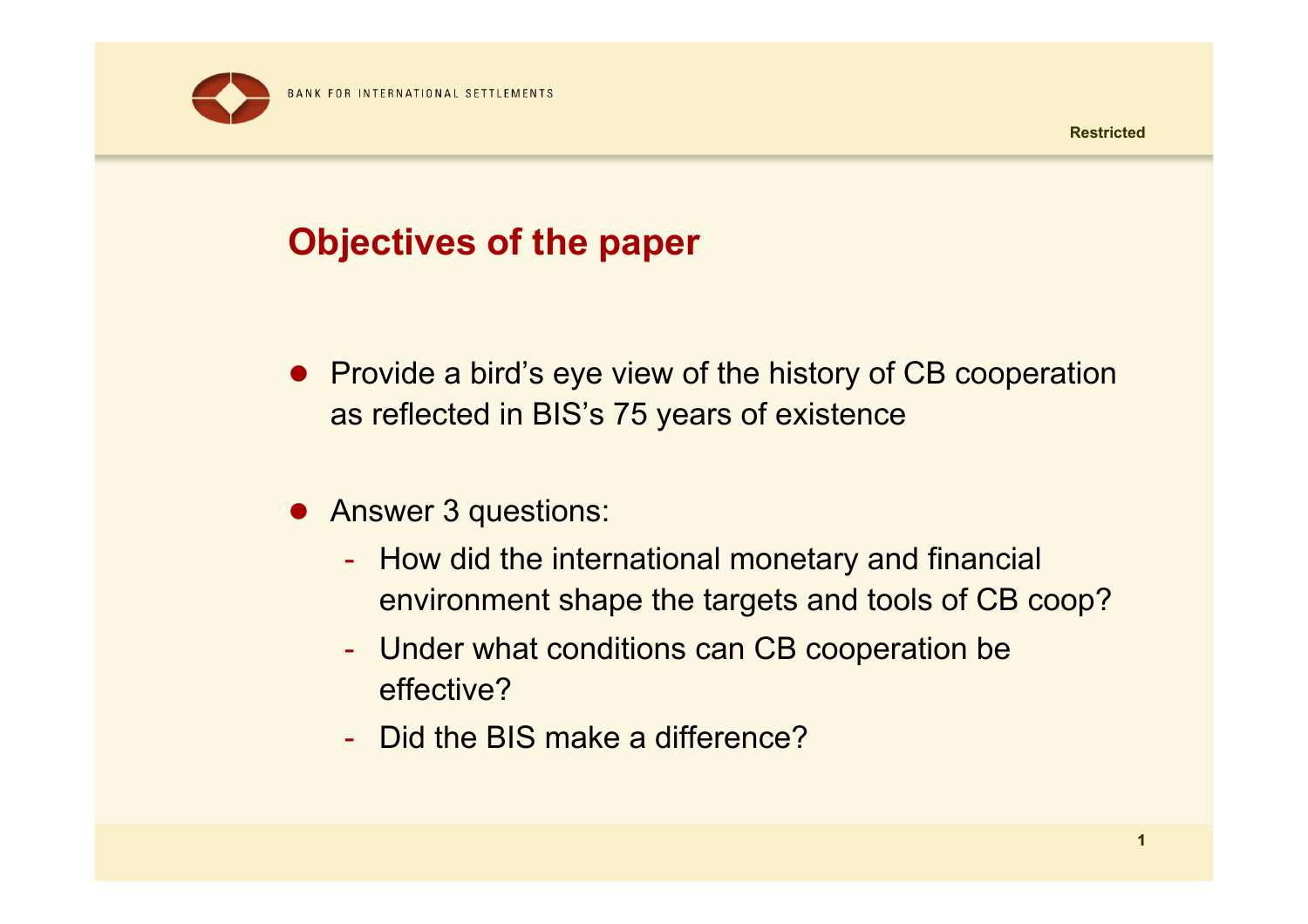

# **Objectives of the paper**

- Provide a bird's eye view of the history of CB cooperation as reflected in BIS's 75 years of existence
- Answer 3 questions:
	- How did the international monetary and financial environment shape the targets and tools of CB coop?
	- $\mathcal{L}_{\mathcal{A}}$ - Under what conditions can CB cooperation be effective?
	- Did the BIS make a difference?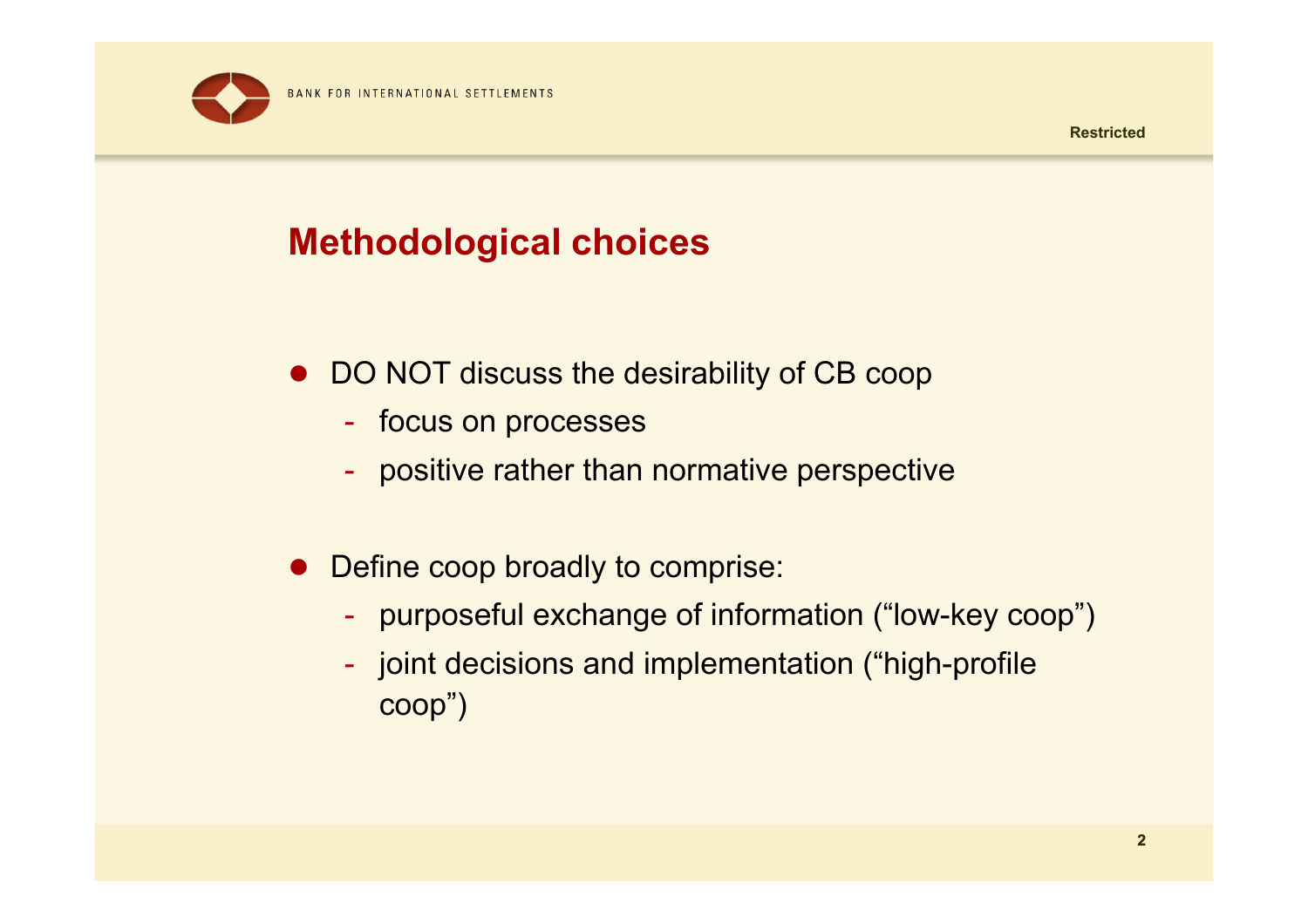

# **Methodological choices**

- DO NOT discuss the desirability of CB coop
	- -- focus on processes
	- positive rather than normative perspective
- $\bullet$  Define coop broadly to comprise:
	- purposeful exchange of information ("low-key coop")
	- joint decisions and implementation ("high-profile coop")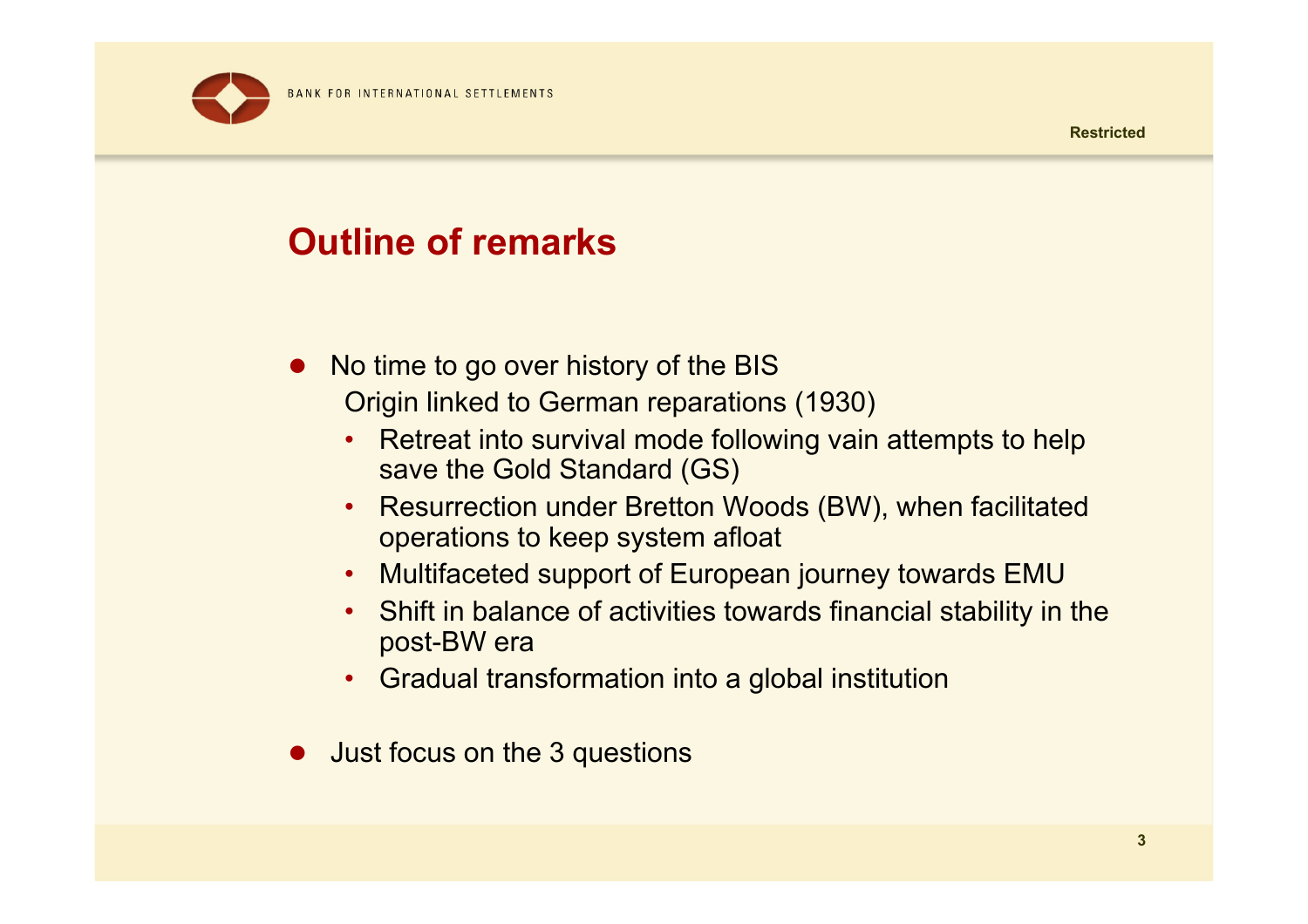

## **Outline of remarks**

- $\bullet$  No time to go over history of the BIS Origin linked to German reparations (1930)
	- • Retreat into survival mode following vain attempts to help save the Gold Standard (GS)
	- Resurrection under Bretton Woods (BW), when facilitated operations to keep system afloat
	- Multifaceted support of European journey towards EMU
	- Shift in balance of activities towards financial stability in the post-BW era
	- Gradual transformation into a global institution
- Just focus on the 3 questions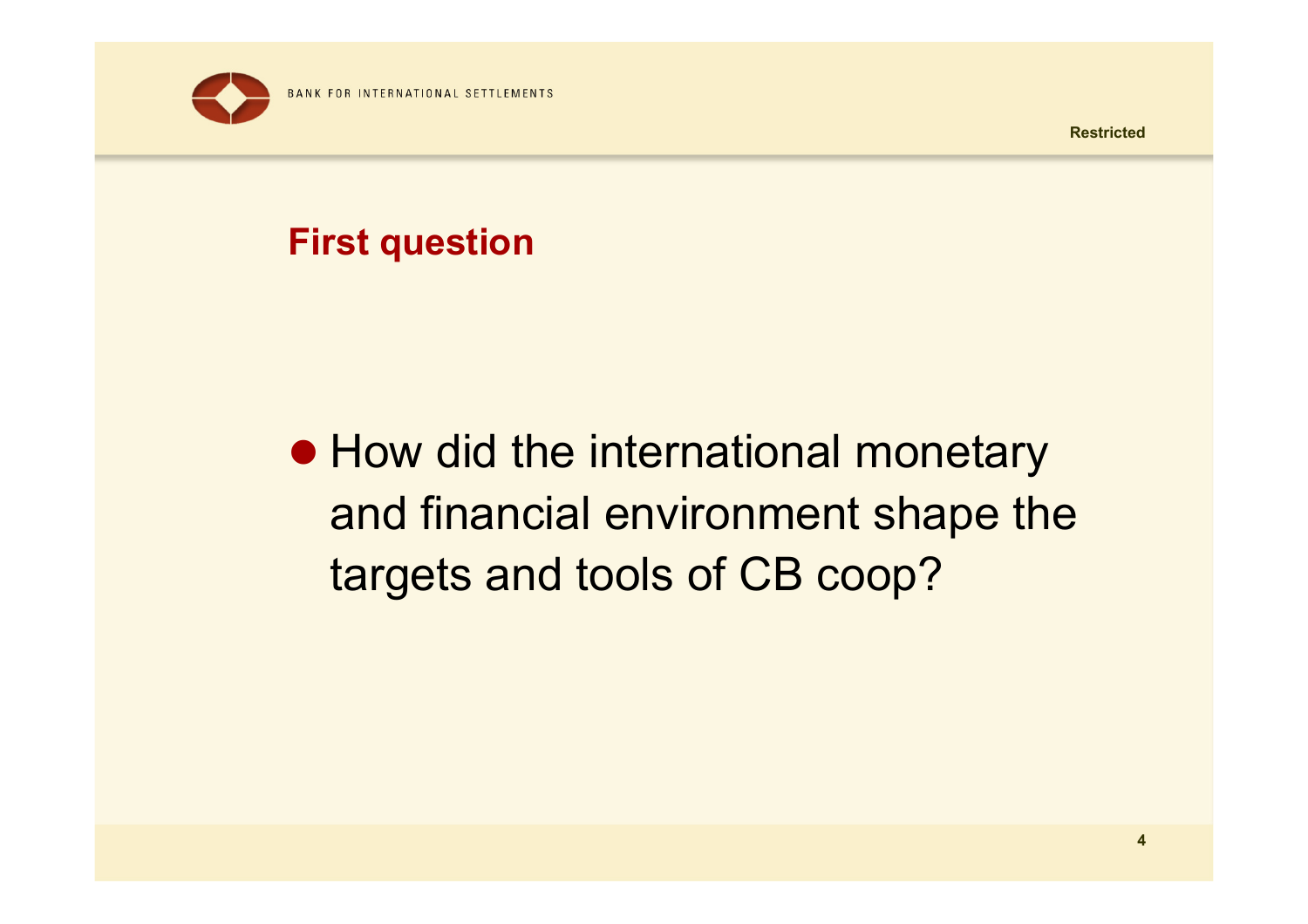

# **First question**

# • How did the international monetary and financial environment shape the targets and tools of CB coop?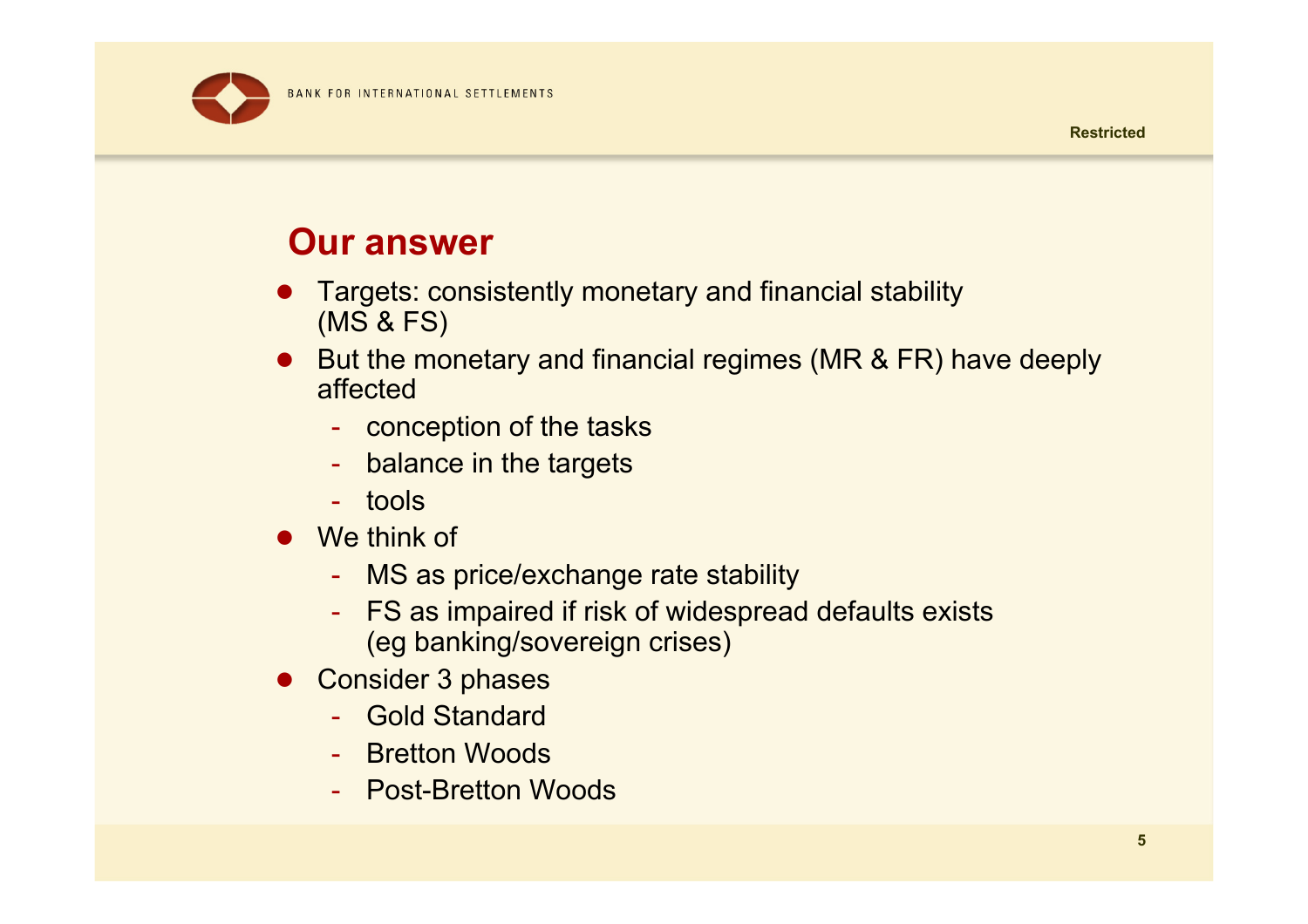BANK FOR INTERNATIONAL SETTLEMENTS



#### **Our answer**

- O Targets: consistently monetary and financial stability (MS & FS)
- O But the monetary and financial regimes (MR & FR) have deeply affected
	- conception of the tasks
	- balance in the targets
	- tools
- $\bullet$  We think of
	- MS as price/exchange rate stability
	- - FS as impaired if risk of widespread defaults exists (eg banking/sovereign crises)
- O Consider 3 phases
	- Gold Standard
	- Bretton Woods
	- Post-Bretton Woods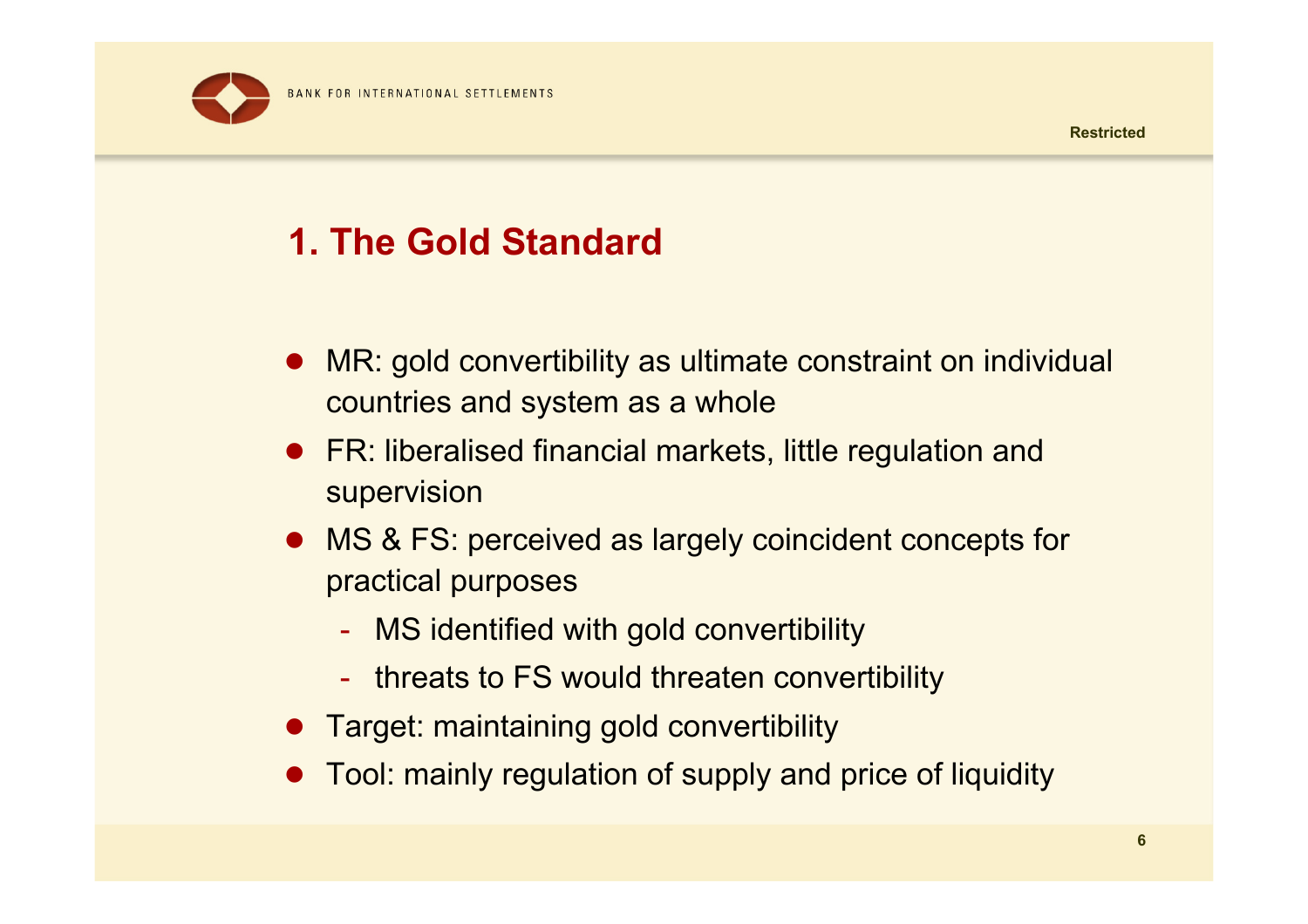

# **1. The Gold Standard**

- $\bullet$  MR: gold convertibility as ultimate constraint on individual countries and system as a whole
- $\bullet$  FR: liberalised financial markets, little regulation and supervision
- MS & FS: perceived as largely coincident concepts for practical purposes
	- MS identified with gold convertibility
	- $\mathcal{L}_{\mathcal{A}}$ - threats to FS would threaten convertibility
- **•** Target: maintaining gold convertibility
- $\bullet$ Tool: mainly regulation of supply and price of liquidity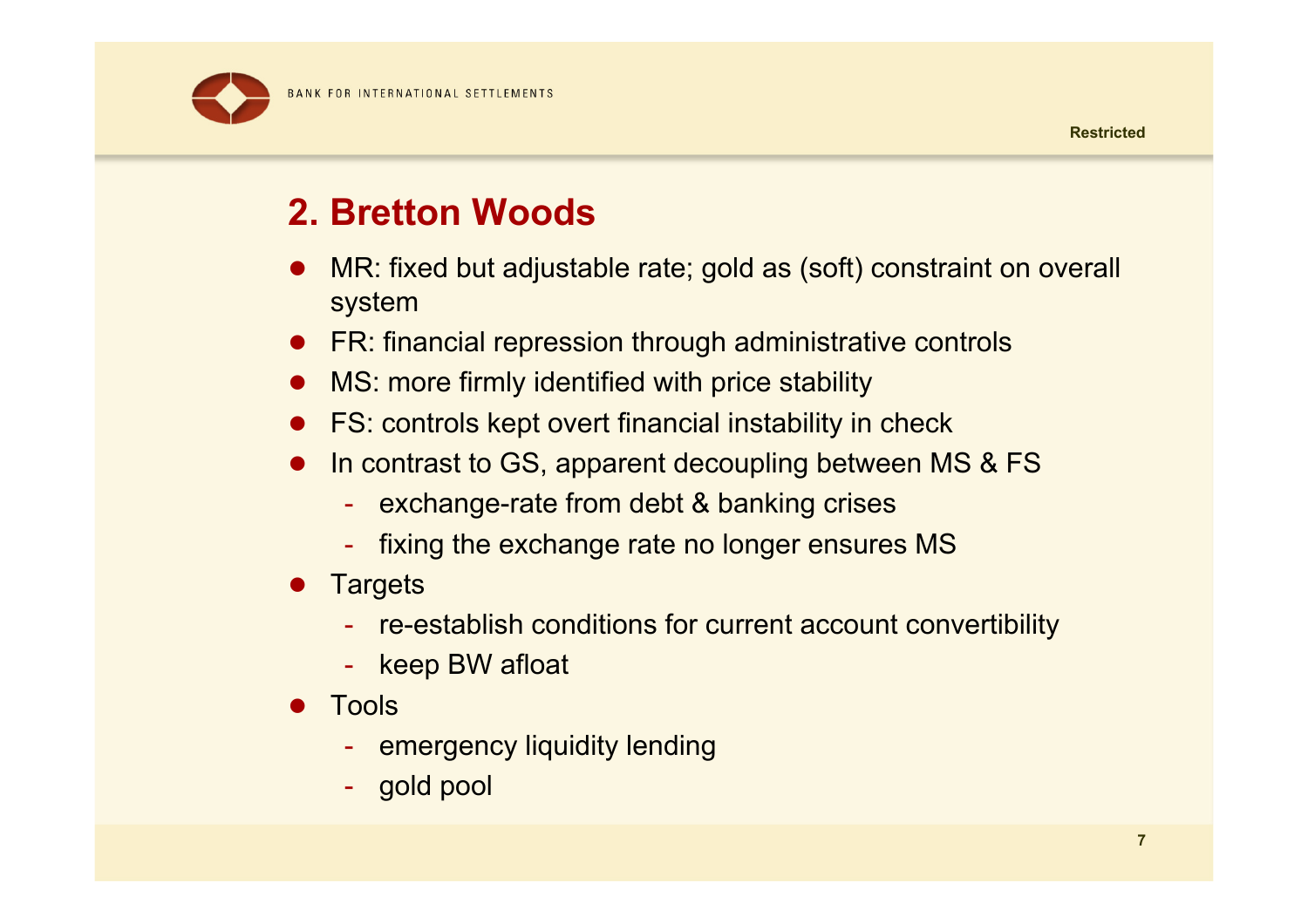#### **2. Bretton Woods**

- $\bullet$  MR: fixed but adjustable rate; gold as (soft) constraint on overall system
- FR: financial repression through administrative controls
- MS: more firmly identified with price stability
- $\bullet$ FS: controls kept overt financial instability in check
- $\bullet$ In contrast to GS, apparent decoupling between MS & FS
	- exchange-rate from debt & banking crises
	- fixing the exchange rate no longer ensures MS
- $\bullet$ **Targets** 
	- re-establish conditions for current account convertibility
	- keep BW afloat
- $\bullet$  Tools
	- emergency liquidity lending
	- gold pool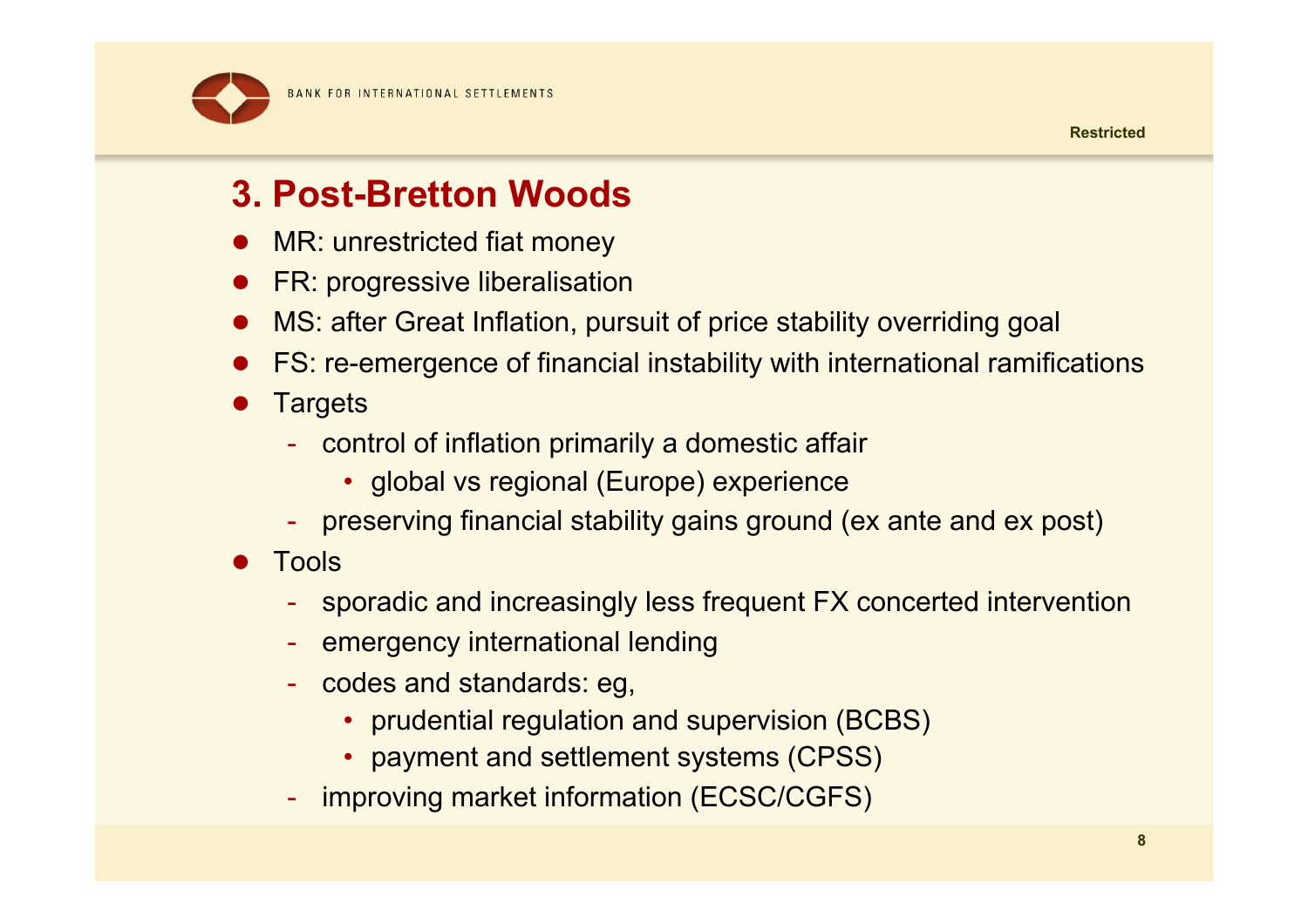

# **3. Post-Bretton Woods**

- $\bullet$ MR: unrestricted fiat money
- $\bullet$ FR: progressive liberalisation
- $\bullet$ MS: after Great Inflation, pursuit of price stability overriding goal
- $\bullet$ FS: re-emergence of financial instability with international ramifications
- $\bullet$ **Targets** 
	- control of inflation primarily a domestic affair
		- global vs regional (Europe) experience
	- preserving financial stability gains ground (ex ante and ex post)
- $\bullet$  Tools
	- sporadic and increasingly less frequent FX concerted intervention
	- emergency international lending
	- codes and standards: eg,
		- prudential regulation and supervision (BCBS)
		- payment and settlement systems (CPSS)
	- improving market information (ECSC/CGFS)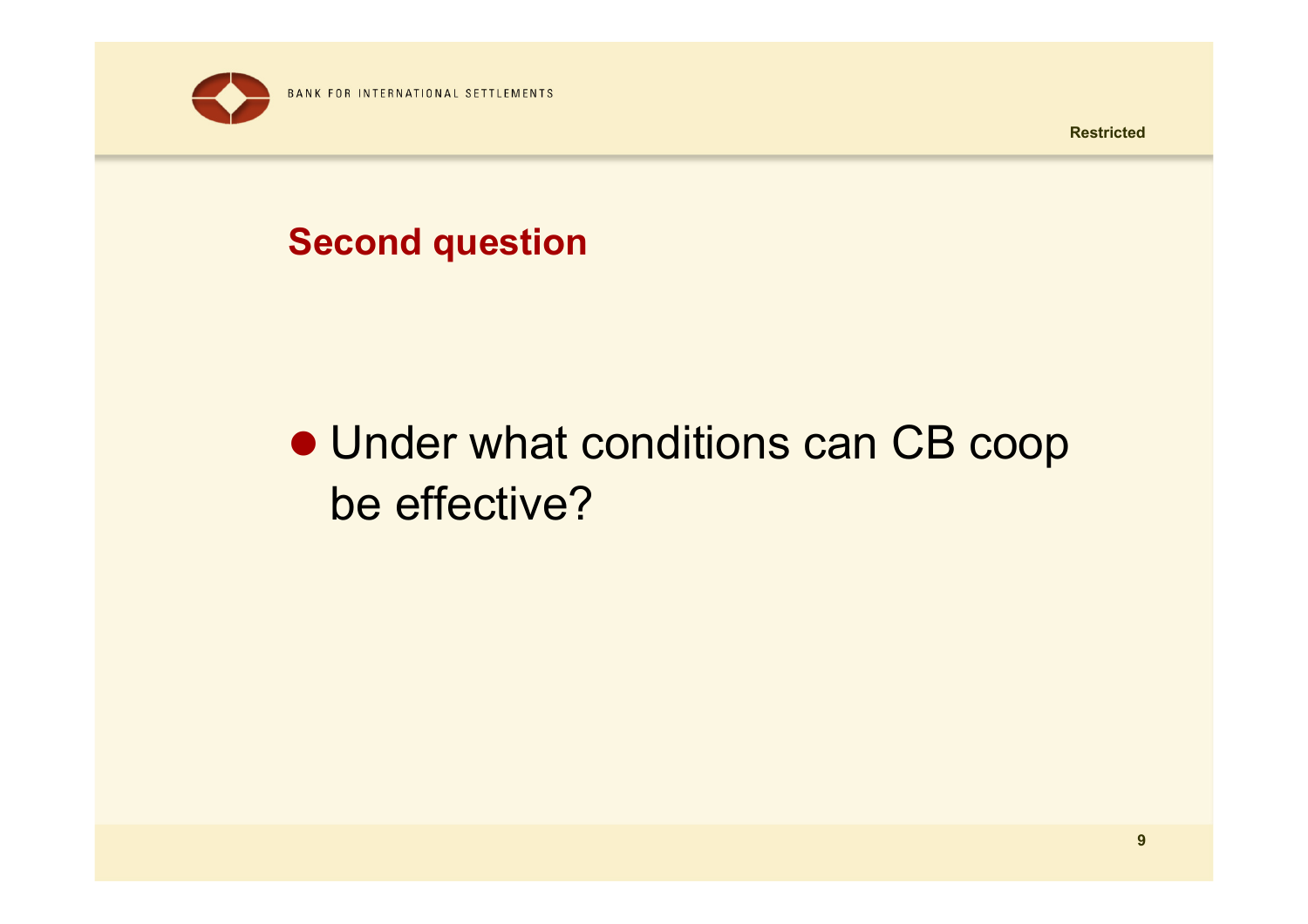

#### **Second question**

# • Under what conditions can CB coop be effective?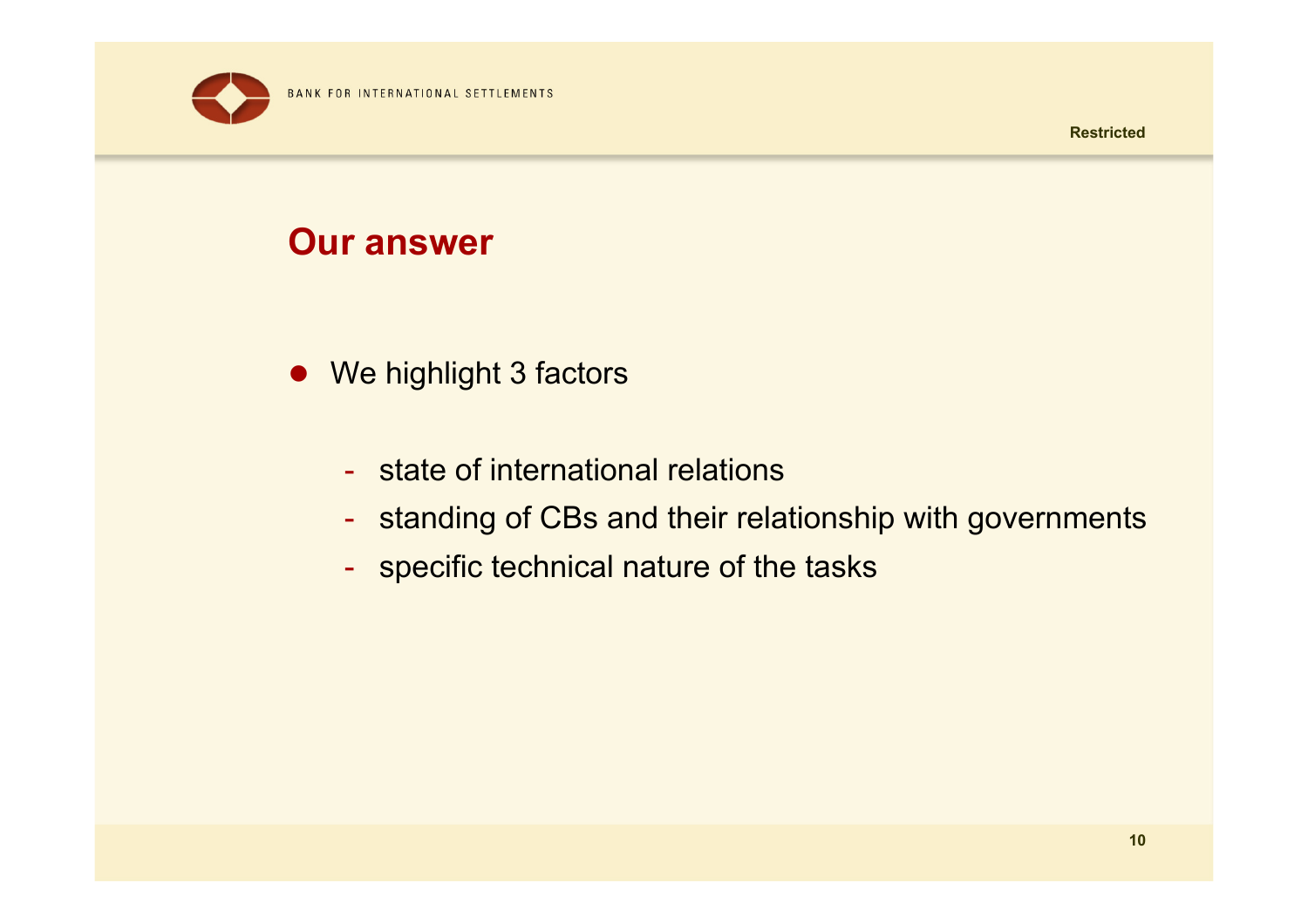



#### **Our answer**

- We highlight 3 factors
	- state of international relations
	- standing of CBs and their relationship with governments
	- $\,$  specific technical nature of the tasks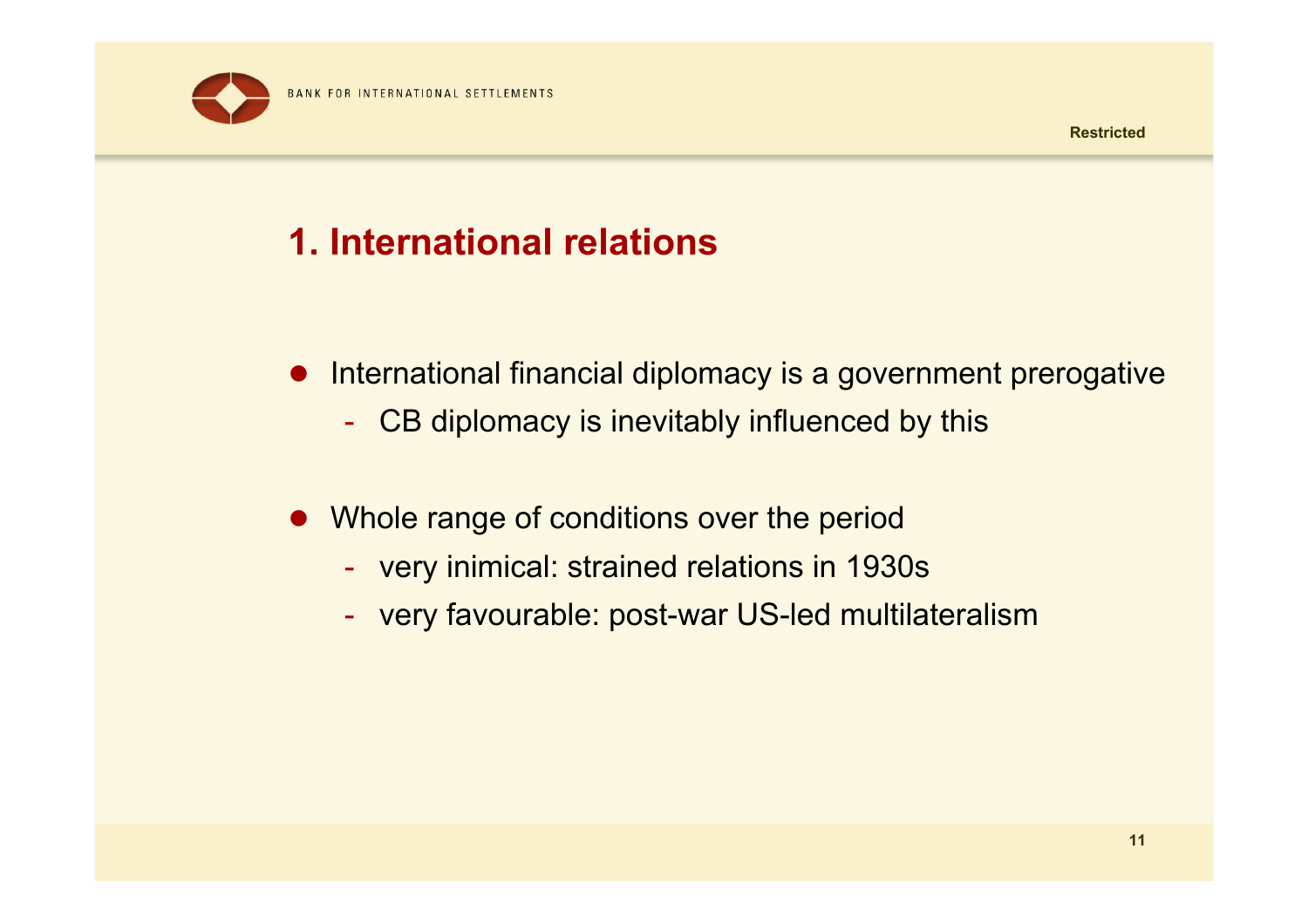

# **1. International relations**

- International financial diplomacy is a government prerogative
	- -CB diplomacy is inevitably influenced by this
- $\bullet$  Whole range of conditions over the period
	- very inimical: strained relations in 1930s
	- very favourable: post-war US-led multilateralism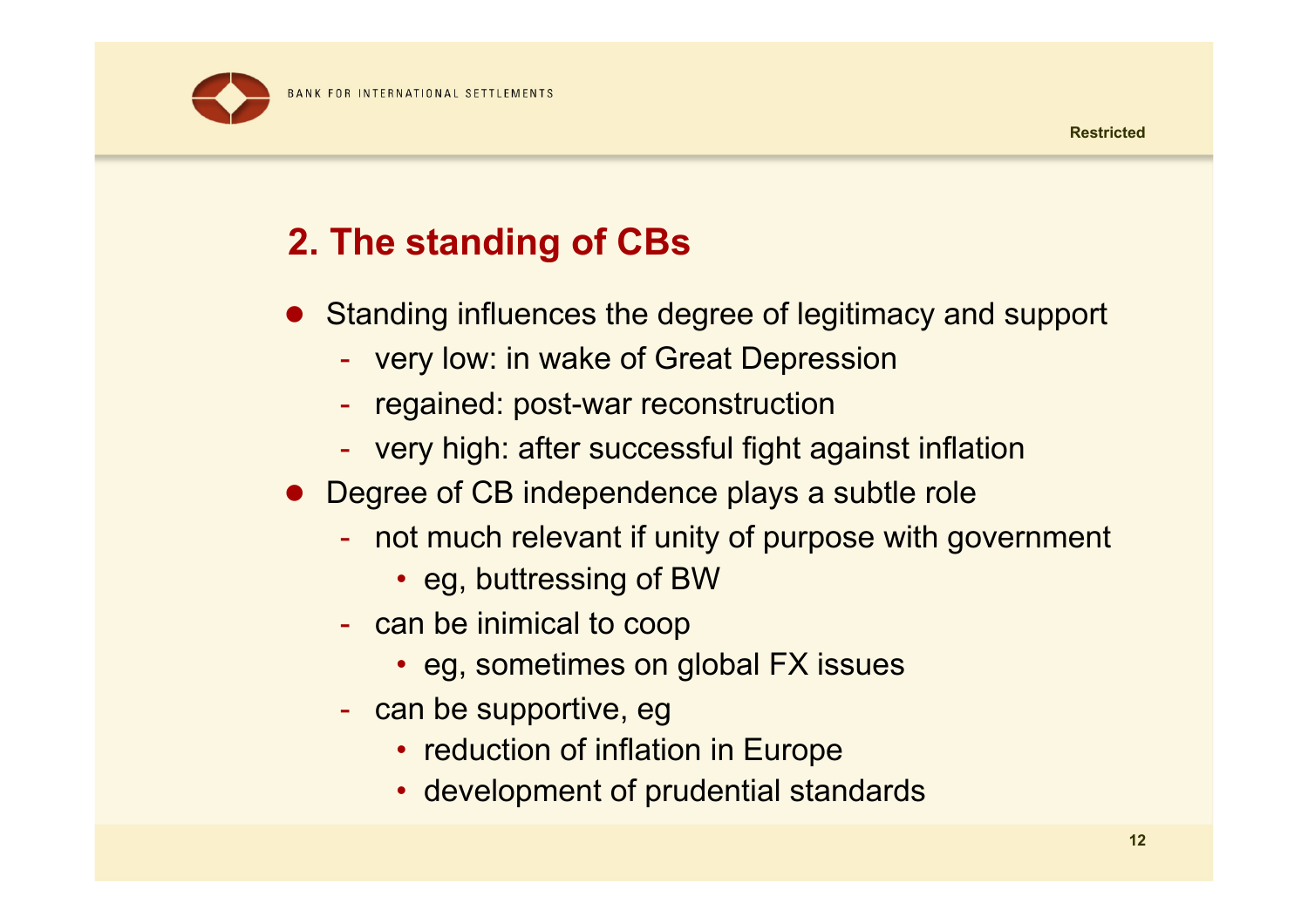**BANK FOR INTERNATIONAL SETTLEMENTS** 

# **2. The standing of CBs**

- Standing influences the degree of legitimacy and support
	- very low: in wake of Great Depression
	- regained: post-war reconstruction
	- $\mathcal{L}_{\mathcal{A}}$ very high: after successful fight against inflation
- Degree of CB independence plays a subtle role
	- not much relevant if unity of purpose with government
		- eg, buttressing of BW
	- -- can be inimical to coop
		- eg, sometimes on global FX issues
	- can be supportive, eg
		- reduction of inflation in Europe
		- development of prudential standards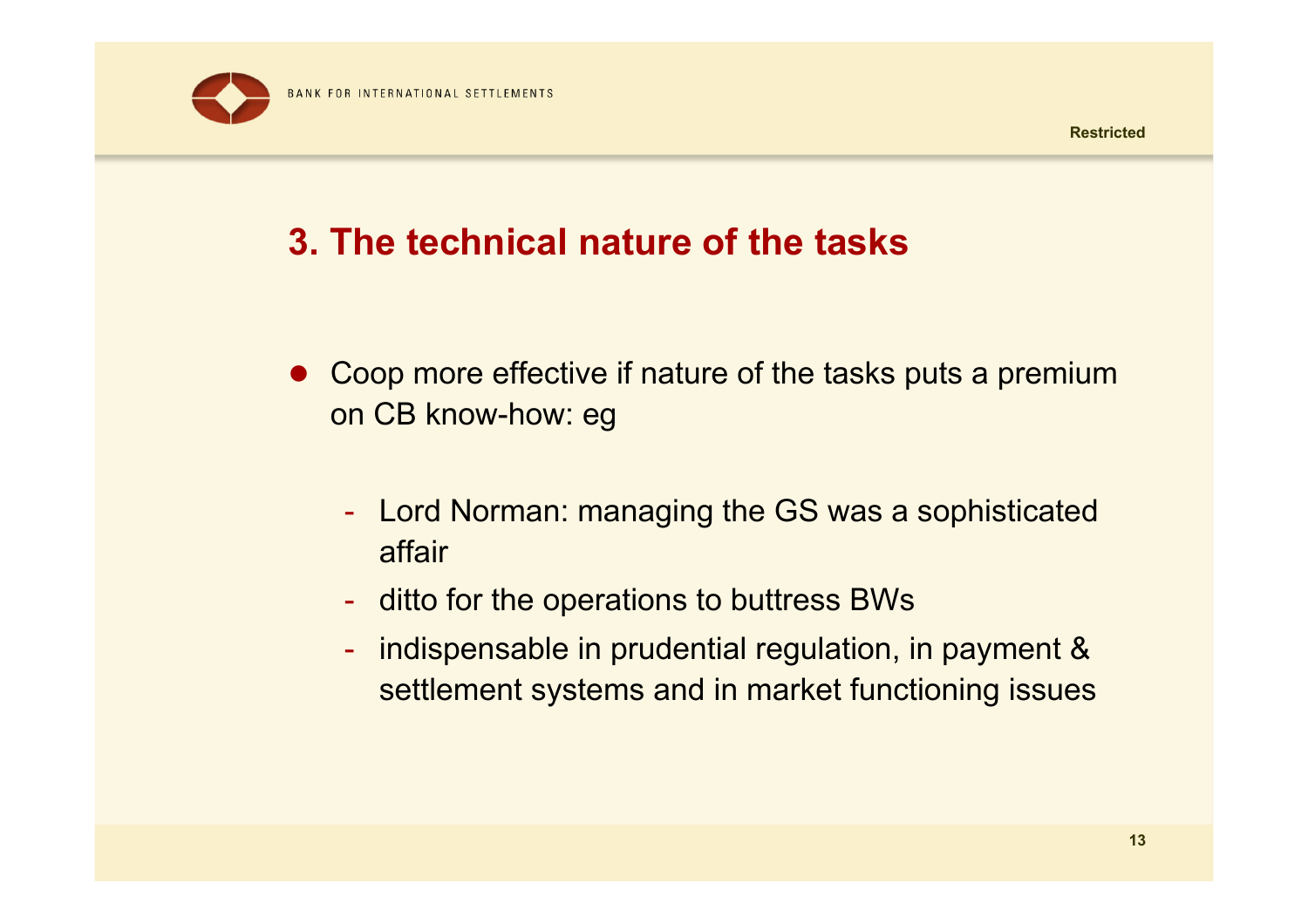

## **3. The technical nature of the tasks**

- Coop more effective if nature of the tasks puts a premium on CB know-how: e g
	- Lord Norman: managing the GS was a sophisticated affair
	- ditto for the operations to buttress BWs
	- $\mathcal{L}_{\mathcal{A}}$  indispensable in prudential regulation, in payment & settlement systems and in market functioning issues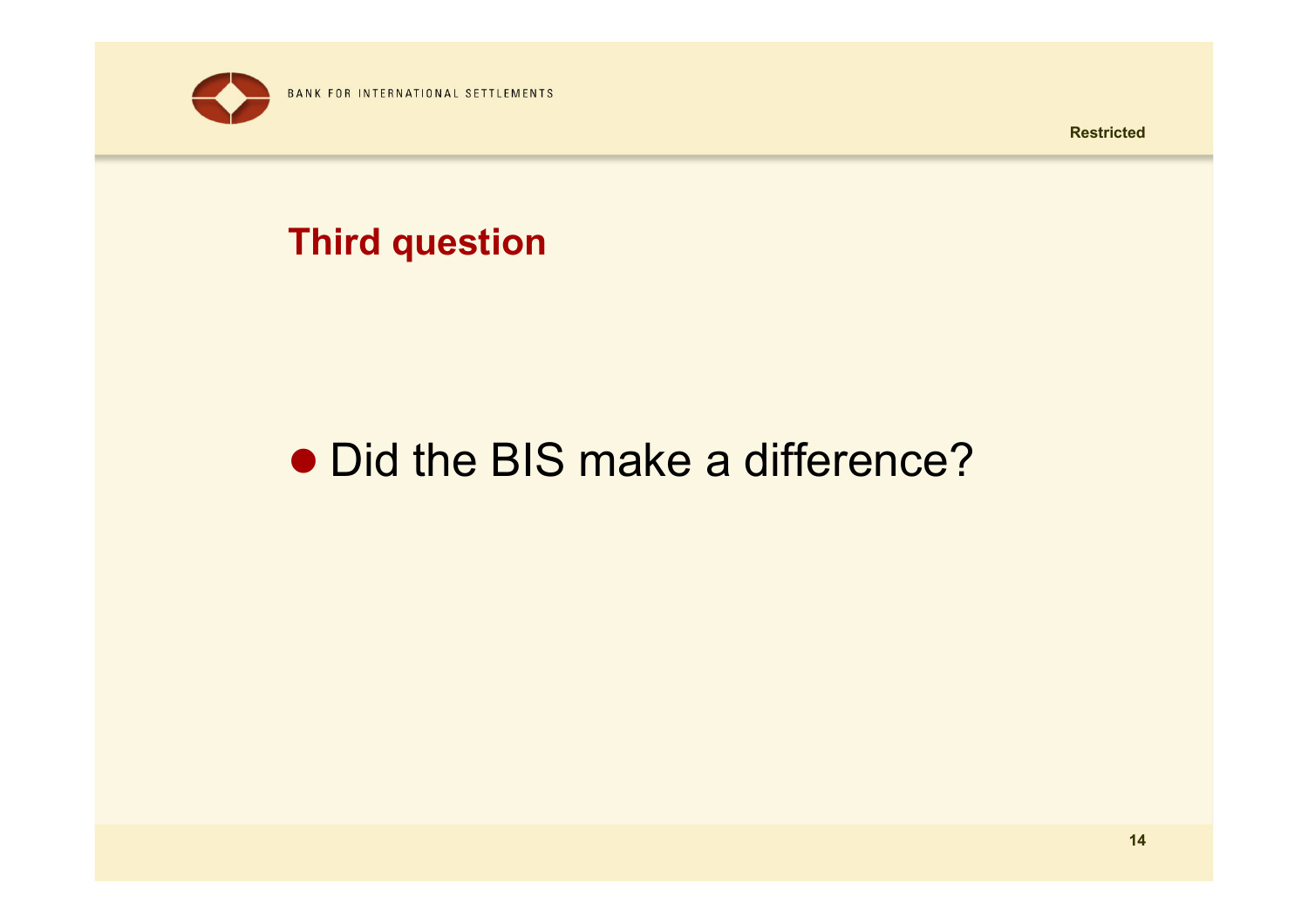

#### **Third question**

# • Did the BIS make a difference?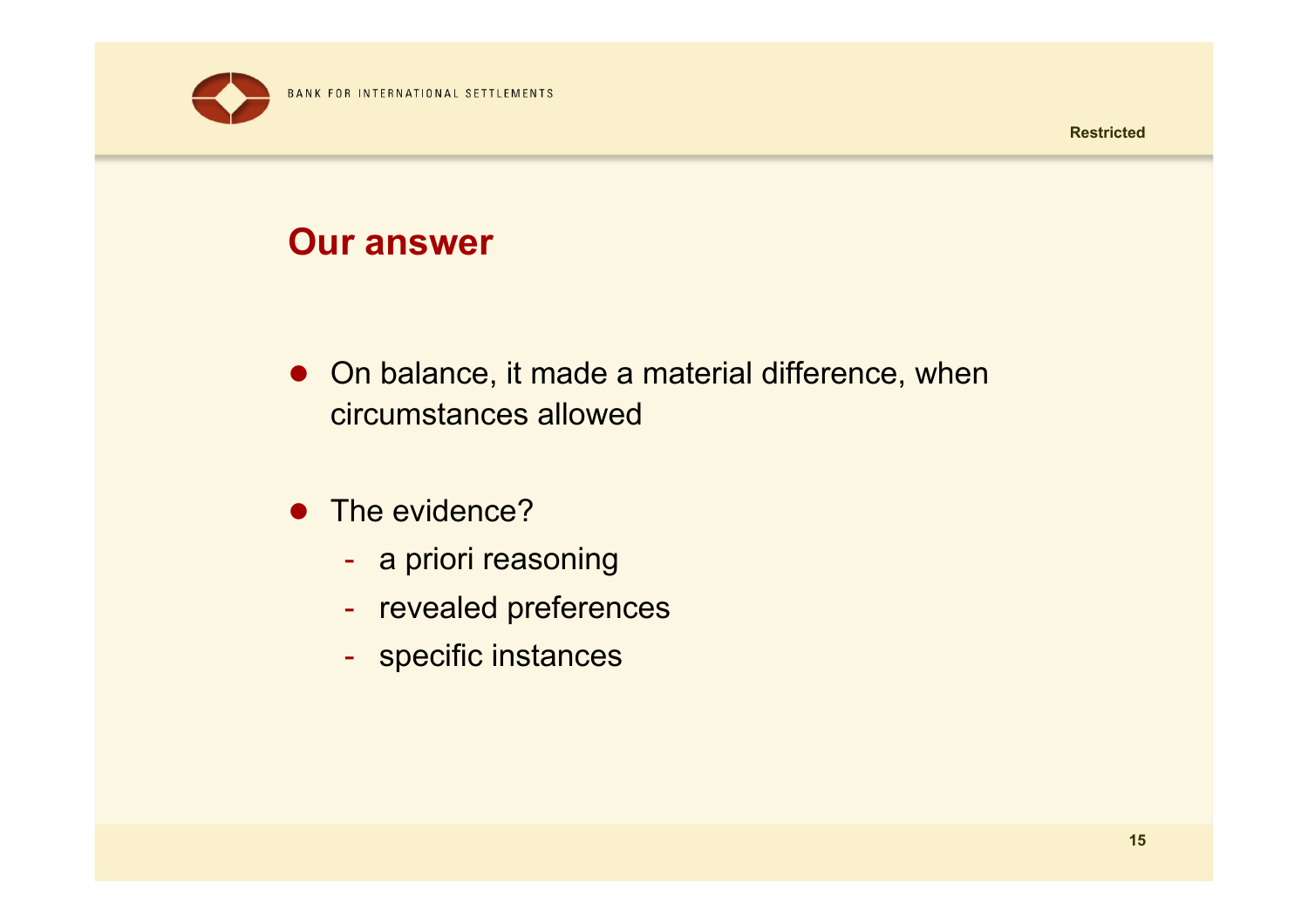

#### **Our answer**

- On balance, it made a material difference, when circumstances allowed
- The evidence?
	- a priori reasoning
	- revealed preferences
	- specific instances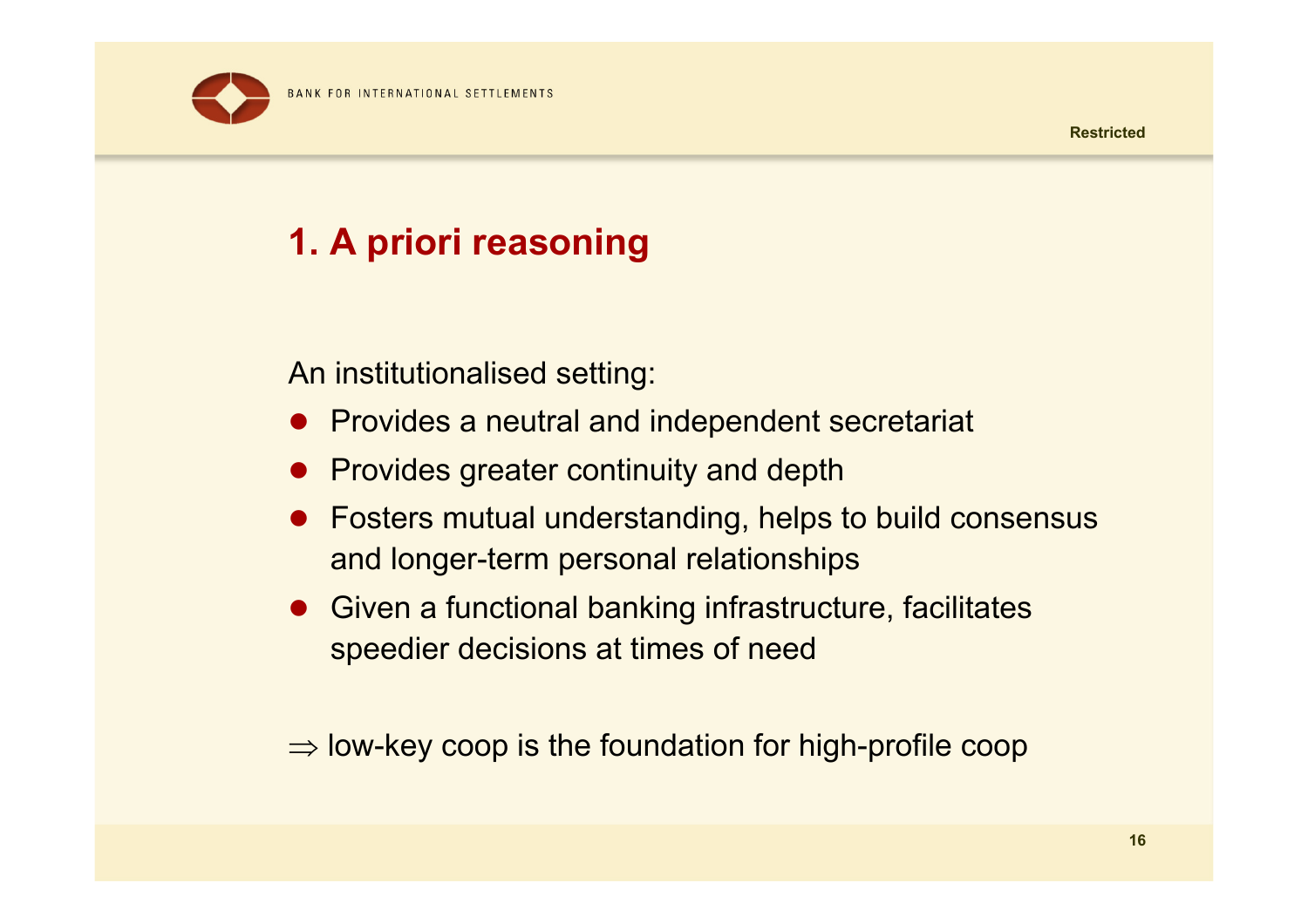

# **1. A priori reasoning**

An institutionalised setting:

- Provides a neutral and independent secretariat
- **•** Provides greater continuity and depth
- Fosters mutual understanding, helps to build consensus and longer-term personal relationships
- Given a functional banking infrastructure, facilitates speedier decisions at times of need

 $\Rightarrow$  low-key coop is the foundation for high-profile coop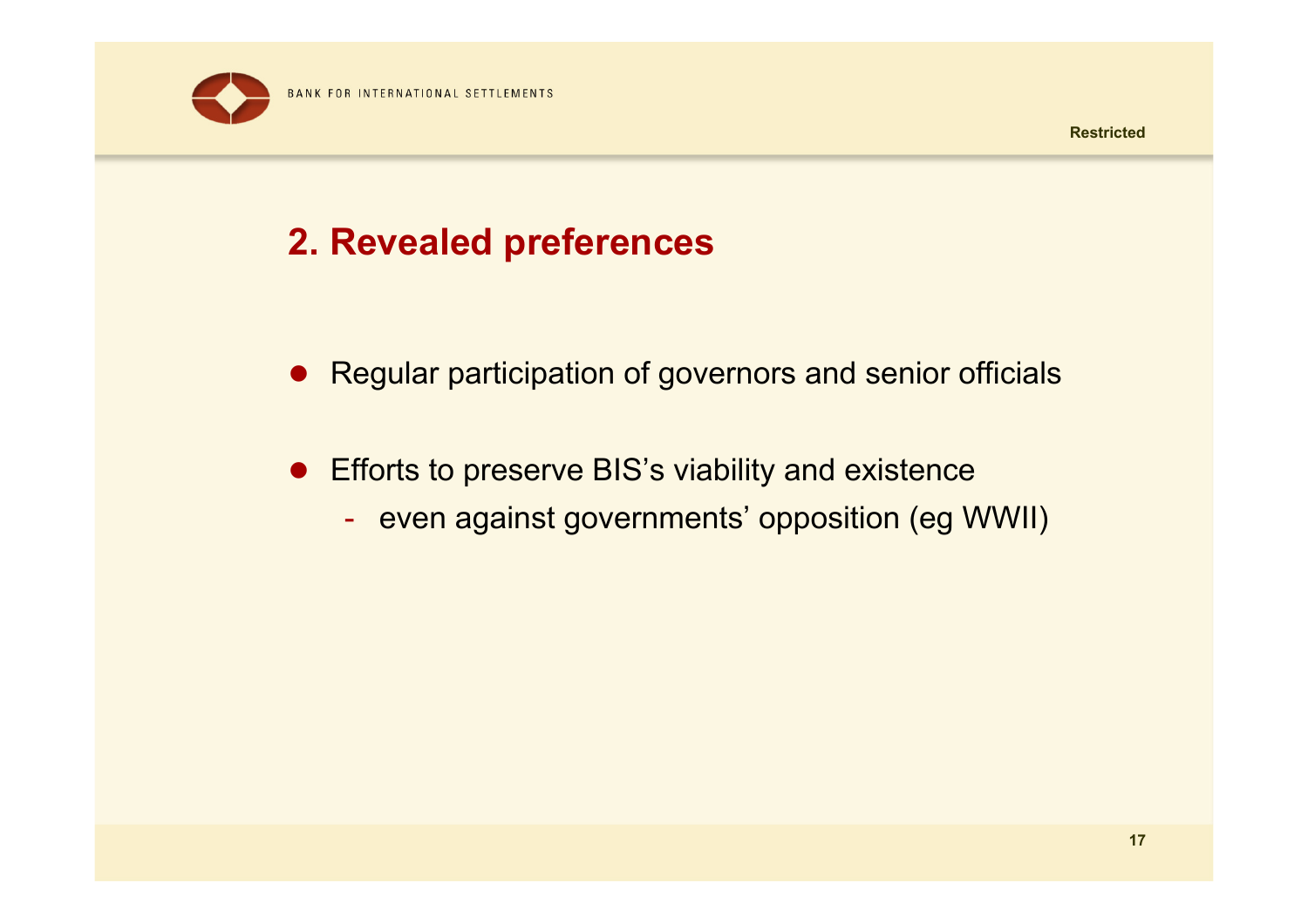

# **2. Revealed preferences**

- Regular participation of governors and senior officials
- **•** Efforts to preserve BIS's viability and existence
	- -- even against governments' opposition (eg WWII)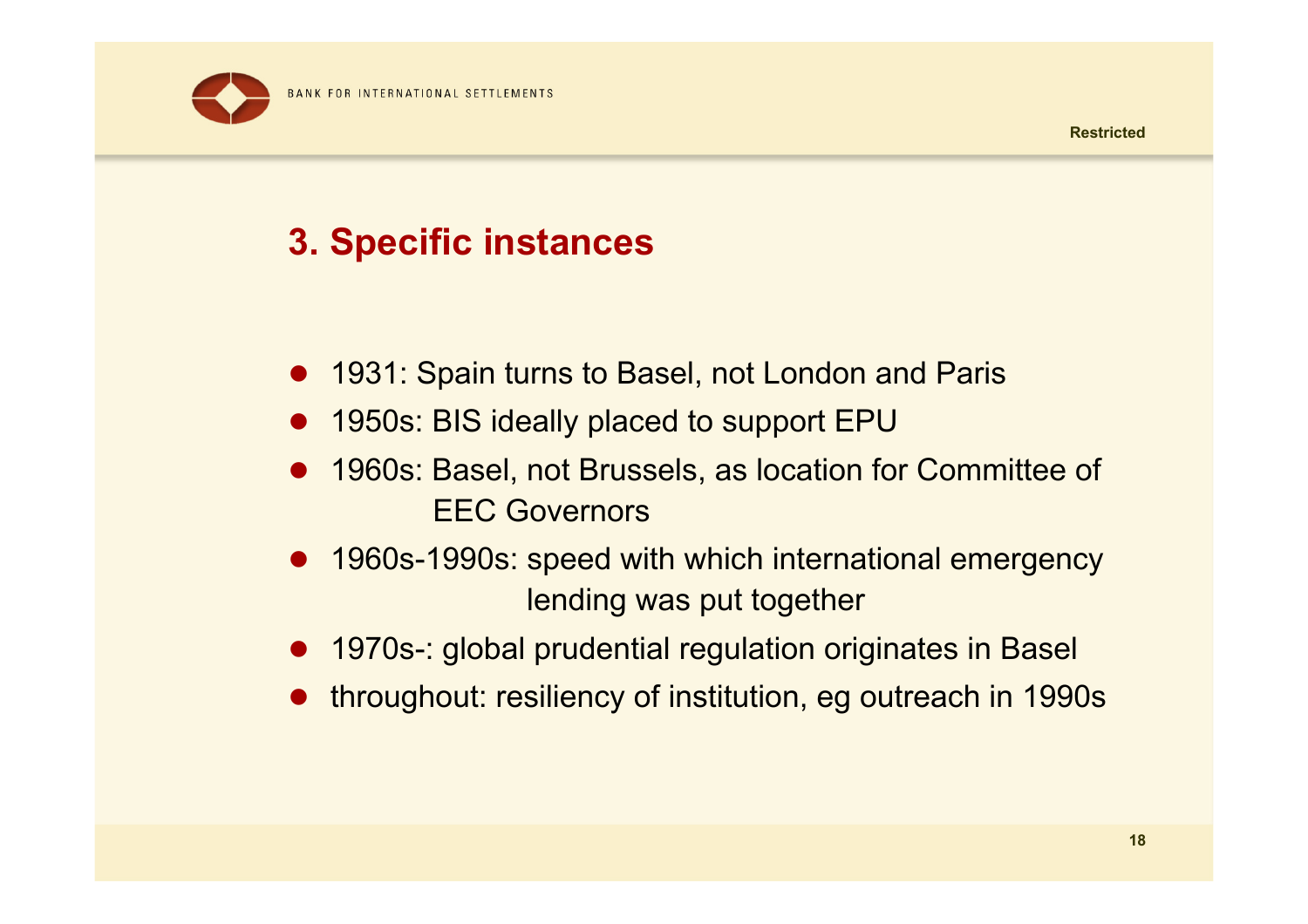

## **3. Specific instances**

- 1931: Spain turns to Basel, not London and Paris
- $\bullet$ 1950s: BIS ideally placed to support EPU
- $\bullet$  1960s: Basel, not Brussels, as location for Committee of EEC Governors
- $\bullet$  1960s-1990s: speed with which international emergency lending was put together
- $\bullet$ 1970s-: global prudential regulation originates in Basel
- $\bullet$ throughout: resiliency of institution, eg outreach in 1990s